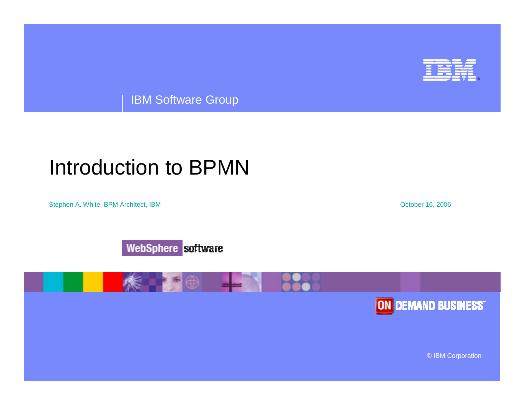

IBM Software Group

#### Introduction to BPMN

Stephen A. White, BPM Architect, IBM **Stephen A. White, BPM Architect**, IBM **October 16**, 2006







© IBM Corporation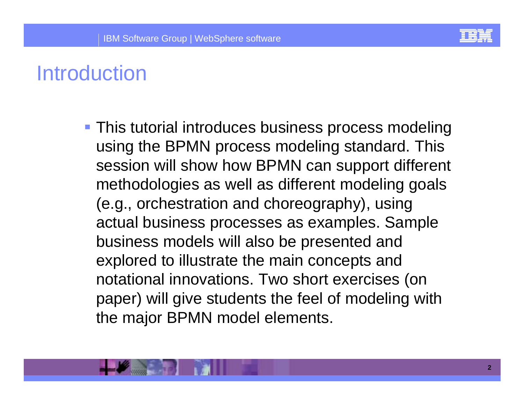

# **Introduction**

**This tutorial introduces business process modeling** using the BPMN process modeling standard. This session will show how BPMN can support different methodologies as well as different modeling goals (e.g., orchestration and choreography), using actual business processes as examples. Sample business models will also be presented and explored to illustrate the main concepts and notational innovations. Two short exercises (on paper) will give students the feel of modeling with the major BPMN model elements.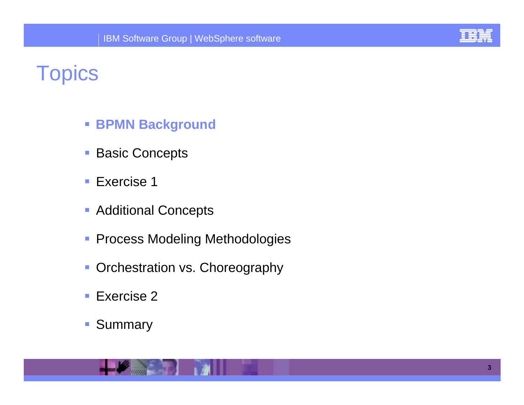

# **Topics**

- ! **BPMN Background**
- !Basic Concepts
- !Exercise 1
- **Additional Concepts**
- **Process Modeling Methodologies**
- **Orchestration vs. Choreography**
- !Exercise 2
- !Summary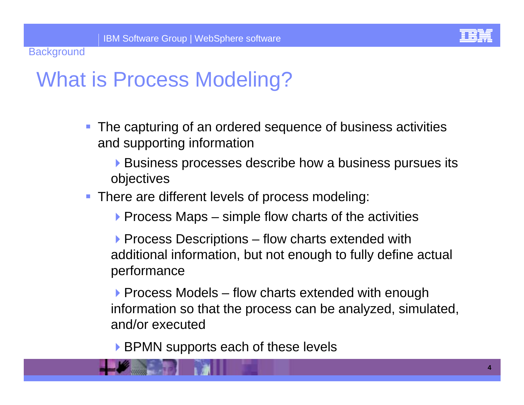

### What is Process Modeling?

- **The capturing of an ordered sequence of business activities** and supporting information
	- **Business processes describe how a business pursues its** objectives
- **There are different levels of process modeling:** 
	- $\triangleright$  Process Maps simple flow charts of the activities
	- **Process Descriptions flow charts extended with** additional information, but not enough to fully define actual performance
	- $\triangleright$  Process Models flow charts extended with enough information so that the process can be analyzed, simulated, and/or executed
	- ▶ BPMN supports each of these levels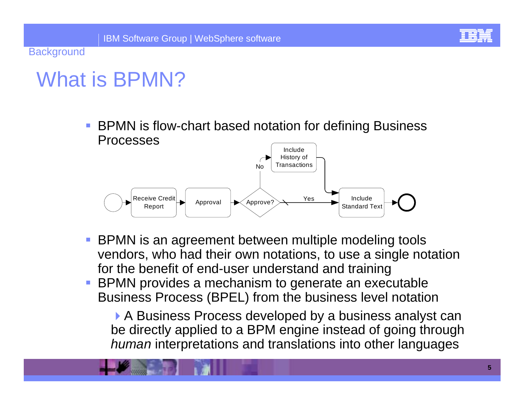

# What is BPMN?

*DESCRIPTION AND PROPERTY ARRANGEMENT*  BPMN is flow-chart based notation for defining Business Processes



- BPMN is an agreement between multiple modeling tools vendors, who had their own notations, to use a single notation for the benefit of end-user understand and training
- BPMN provides a mechanism to generate an executable Business Process (BPEL) from the business level notation

▶ A Business Process developed by a business analyst can be directly applied to a BPM engine instead of going through *human* interpretations and translations into other languages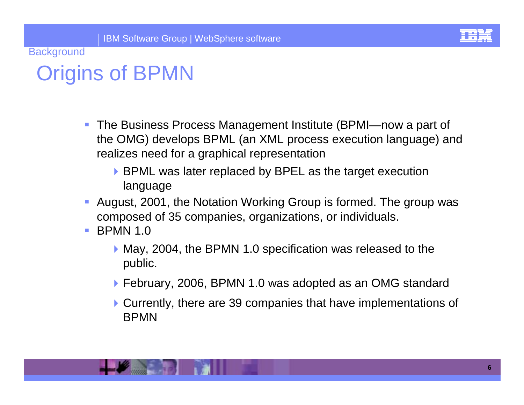

# Origins of BPMN

- ! The Business Process Management Institute (BPMI—now a part of the OMG) develops BPML (an XML process execution language) and realizes need for a graphical representation
	- ▶ BPML was later replaced by BPEL as the target execution language
- **August, 2001, the Notation Working Group is formed. The group was** composed of 35 companies, organizations, or individuals.
- ! BPMN 1.0
	- ▶ May, 2004, the BPMN 1.0 specification was released to the public.
	- ▶ February, 2006, BPMN 1.0 was adopted as an OMG standard
	- !Currently, there are 39 companies that have implementations of BPMN

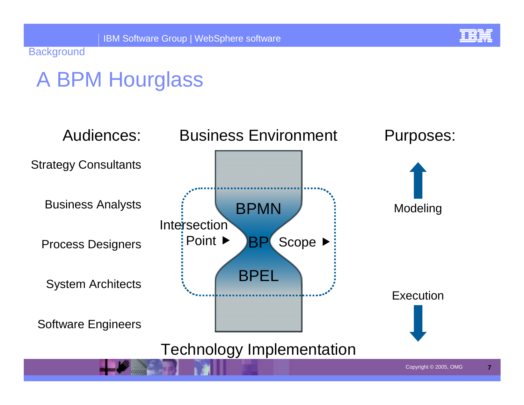# A BPM Hourglass

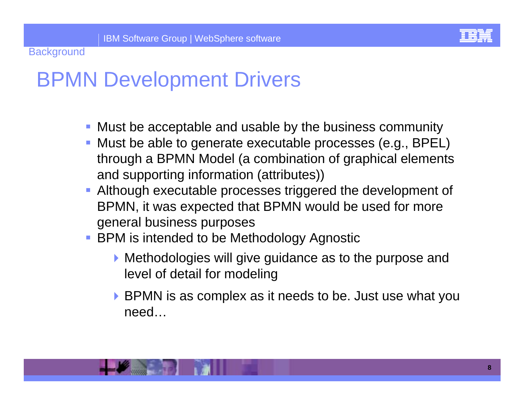

### BPMN Development Drivers

- **Must be acceptable and usable by the business community**
- ! Must be able to generate executable processes (e.g., BPEL) through a BPMN Model (a combination of graphical elements and supporting information (attributes))
- **Although executable processes triggered the development of** BPMN, it was expected that BPMN would be used for more general business purposes
- **BPM** is intended to be Methodology Agnostic
	- !Methodologies will give guidance as to the purpose and level of detail for modeling
	- **BPMN** is as complex as it needs to be. Just use what you need…

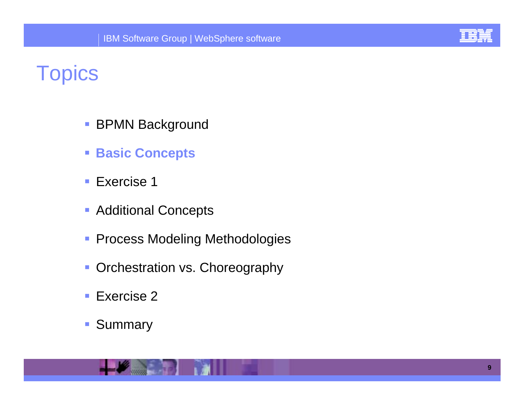

# **Topics**

- !BPMN Background
- ! **Basic Concepts**
- Exercise 1
- **Additional Concepts**
- **Process Modeling Methodologies**
- **Orchestration vs. Choreography**
- !Exercise 2
- !Summary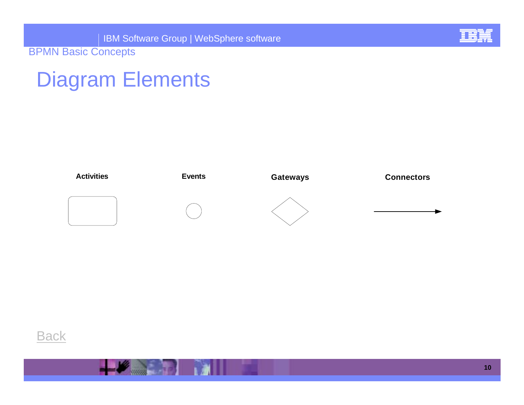

#### Diagram Elements



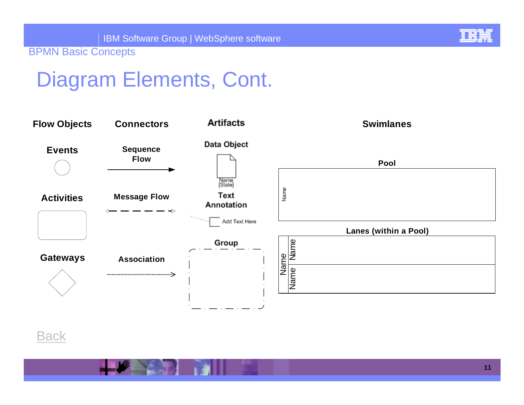

# Diagram Elements, Cont.



**Back**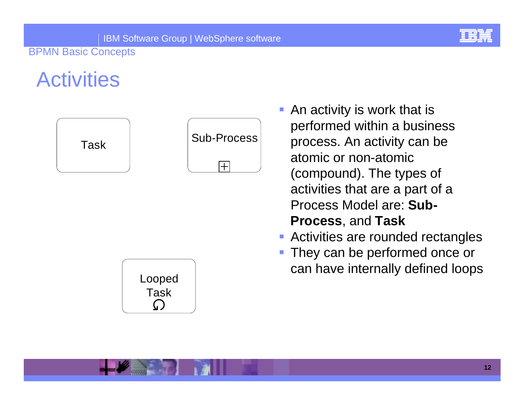

# **Activities**





Looped Task $\bigcap$ 

- ! An activity is work that is performed within a business process. An activity can be atomic or non-atomic (compound). The types of activities that are a part of a Process Model are: **Sub-Process**, and **Task**
- **E** Activities are rounded rectangles
- *DESCRIPTION AND PROPERTY ARRANGEMENT*  They can be performed once or can have internally defined loops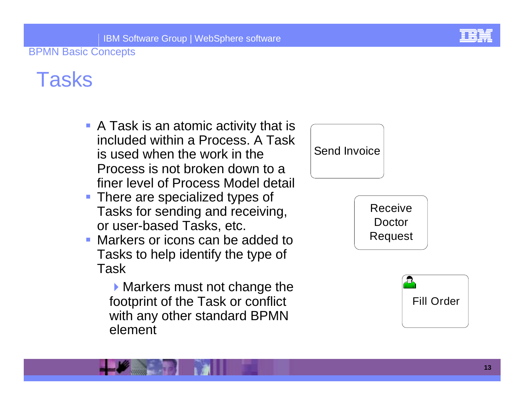

### Tasks

- **A Task is an atomic activity that is** included within a Process. A Task is used when the work in the Process is not broken down to a finer level of Process Model detail
- **There are specialized types of** Tasks for sending and receiving, or user-based Tasks, etc.
- **Markers or icons can be added to** Tasks to help identify the type of Task

**Markers must not change the** footprint of the Task or conflict with any other standard BPMN element



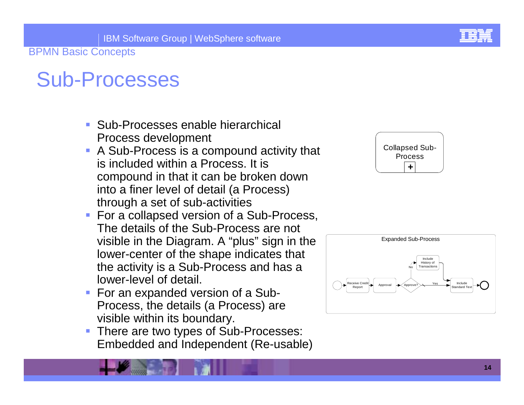# Sub-Processes

- Sub-Processes enable hierarchical Process development
- **A Sub-Process is a compound activity that** is included within a Process. It is compound in that it can be broken down into a finer level of detail (a Process) through a set of sub-activities
- **For a collapsed version of a Sub-Process,** The details of the Sub-Process are not visible in the Diagram. A "plus" sign in the lower-center of the shape indicates that the activity is a Sub-Process and has a lower-level of detail.
- **For an expanded version of a Sub-**Process, the details (a Process) are visible within its boundary.
- **There are two types of Sub-Processes:** Embedded and Independent (Re-usable)



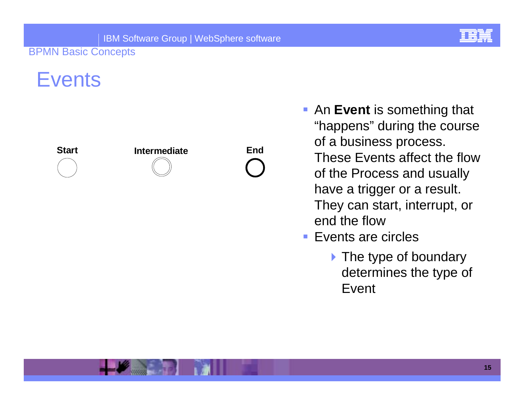#### **Events**









- **Exent** is something that "happens" during the course of a business process. These Events affect the flow of the Process and usually have a trigger or a result. They can start, interrupt, or end the flow
- Events are circles
	- Inte type of boundary determines the type of Event

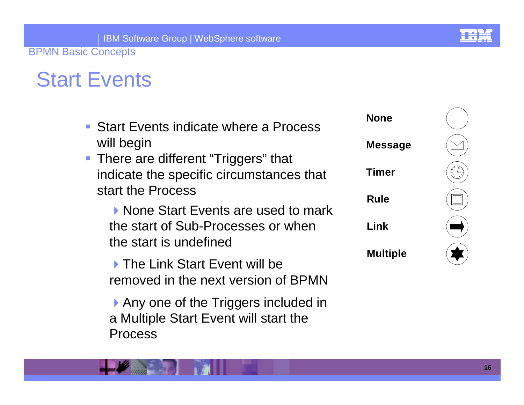# Start Events

| • Start Events indicate where a Process<br>will begin                                   | <b>None</b>     |  |
|-----------------------------------------------------------------------------------------|-----------------|--|
|                                                                                         | <b>Message</b>  |  |
| • There are different "Triggers" that<br>indicate the specific circumstances that       | <b>Timer</b>    |  |
| start the Process<br>▶ None Start Events are used to mark                               | <b>Rule</b>     |  |
| the start of Sub-Processes or when<br>the start is undefined                            | Link            |  |
| ▶ The Link Start Event will be<br>removed in the next version of BPMN                   | <b>Multiple</b> |  |
| Any one of the Triggers included in<br>a Multiple Start Event will start the<br>Process |                 |  |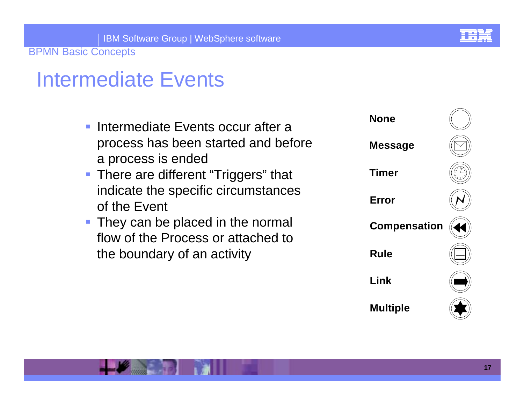### Intermediate Events

- **Intermediate Events occur after a** process has been started and before a process is ended
- **There are different "Triggers" that** indicate the specific circumstances of the Event
- **They can be placed in the normal** flow of the Process or attached to the boundary of an activity

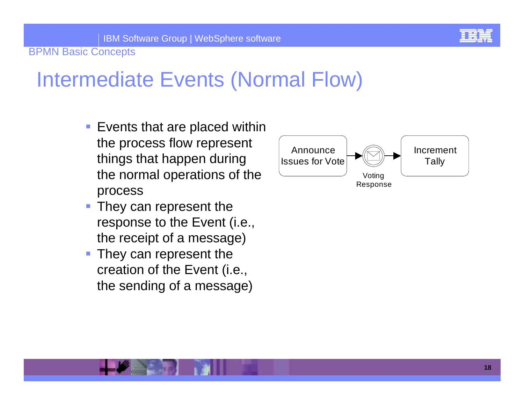IBM Software Group | WebSphere software

BPMN Basic Concepts

# Intermediate Events (Normal Flow)

- **Exents that are placed within** the process flow represent things that happen during the normal operations of the process
- They can represent the response to the Event (i.e., the receipt of a message)
- ! They can represent the creation of the Event (i.e., the sending of a message)

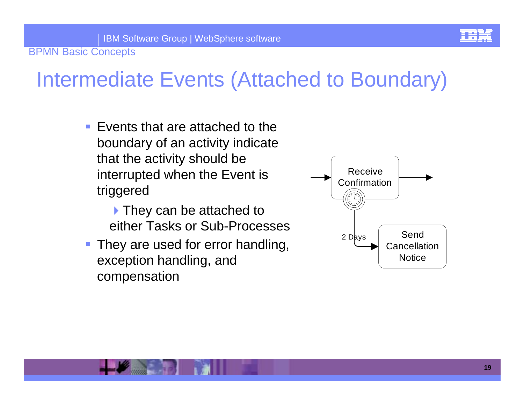

# Intermediate Events (Attached to Boundary)

- **Exents that are attached to the** boundary of an activity indicate that the activity should be interrupted when the Event is triggered
	- **They can be attached to** either Tasks or Sub-Processes
- **They are used for error handling,** exception handling, and compensation

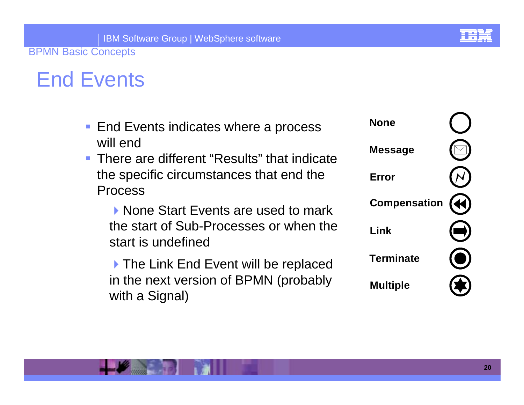# End Events

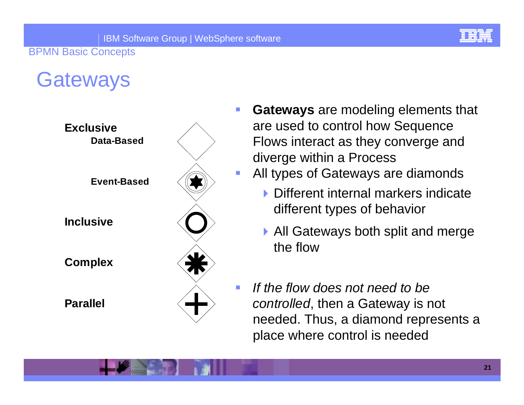

#### **Gateways**



- ! **Gateways** are modeling elements that are used to control how Sequence Flows interact as they converge and diverge within a Process
	- All types of Gateways are diamonds
		- **I** Different internal markers indicate different types of behavior
		- ▶ All Gateways both split and merge the flow
	- *If the flow does not need to be controlled*, then a Gateway is not needed. Thus, a diamond represents a place where control is needed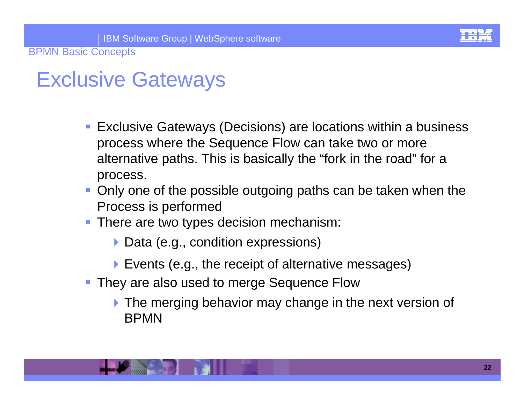

# Exclusive Gateways

- **Exclusive Gateways (Decisions) are locations within a business** process where the Sequence Flow can take two or more alternative paths. This is basically the "fork in the road" for a process.
- **Only one of the possible outgoing paths can be taken when the** Process is performed
- **There are two types decision mechanism:** 
	- ▶ Data (e.g., condition expressions)
	- **Events (e.g., the receipt of alternative messages)**
- **They are also used to merge Sequence Flow** 
	- **The merging behavior may change in the next version of** BPMN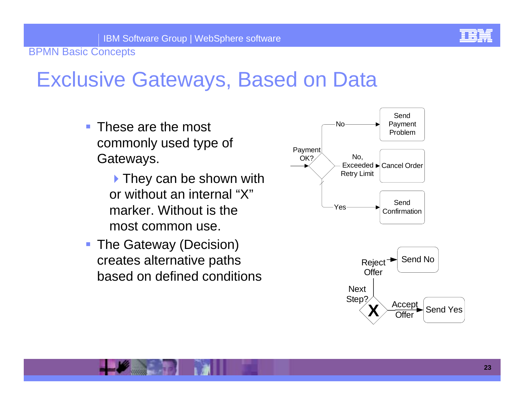

#### Exclusive Gateways, Based on Data

- ! These are the most commonly used type of Gateways.
	- $\blacktriangleright$  They can be shown with or without an internal "X"marker. Without is the most common use.
- **The Gateway (Decision)** creates alternative paths based on defined conditions

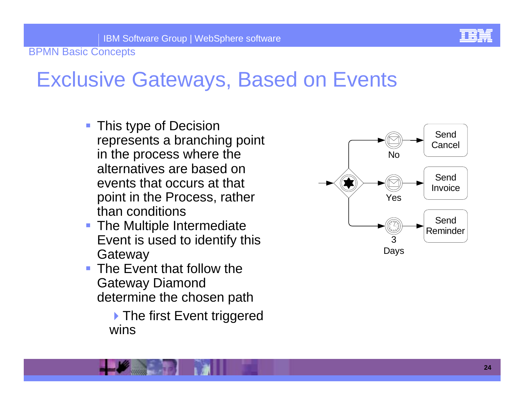

### Exclusive Gateways, Based on Events

- **This type of Decision** represents a branching point in the process where the alternatives are based on events that occurs at that point in the Process, rather than conditions
- **The Multiple Intermediate** Event is used to identify this **Gateway**
- **The Event that follow the** Gateway Diamond determine the chosen path

▶ The first Event triggered wins

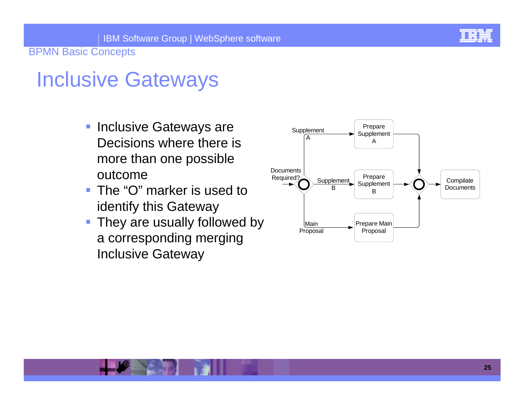

### Inclusive Gateways

- **Inclusive Gateways are** Decisions where there is more than one possible outcome
- ! The "O" marker is used to identify this Gateway
- **They are usually followed by** a corresponding merging Inclusive Gateway

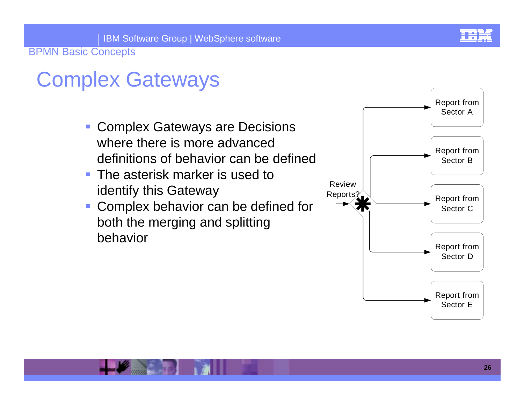

# Complex Gateways

- **Complex Gateways are Decisions** where there is more advanced definitions of behavior can be defined
- **The asterisk marker is used to** identify this Gateway
- |<br>|- Complex behavior can be defined for both the merging and splitting behavior

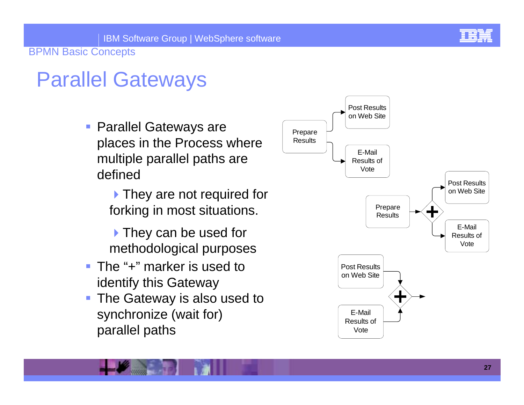# Parallel Gateways

**• Parallel Gateways are** places in the Process where multiple parallel paths are defined

> **They are not required for** forking in most situations.

If They can be used for methodological purposes

- The "+" marker is used to identify this Gateway
- **The Gateway is also used to** synchronize (wait for) parallel paths

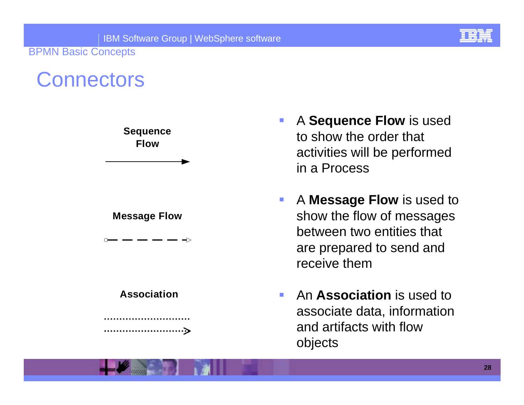

#### **Connectors**



- ! A **Sequence Flow** is used to show the order that activities will be performed in a Process
- ! A **Message Flow** is used to show the flow of messages between two entities that are prepared to send and receive them
- !**An Association** is used to associate data, information and artifacts with flow objects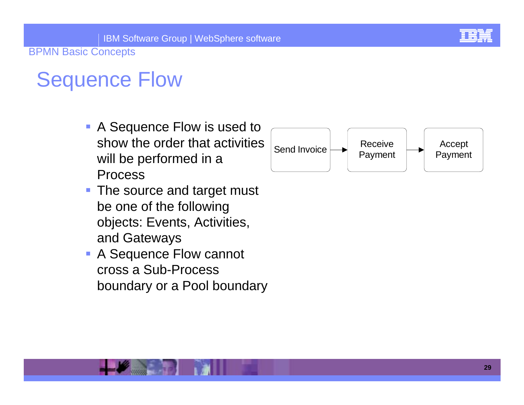# Sequence Flow

- **A Sequence Flow is used to** show the order that activities will be performed in a Process
- **The source and target must** be one of the following objects: Events, Activities, and Gateways
- **A Sequence Flow cannot** cross a Sub-Process boundary or a Pool boundary

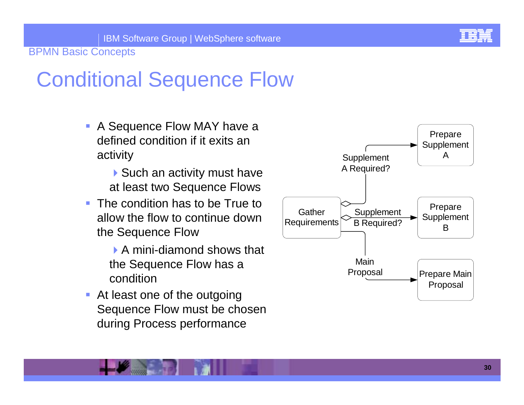

# Conditional Sequence Flow

- **A Sequence Flow MAY have a** defined condition if it exits an activity
	- $\triangleright$  Such an activity must have at least two Sequence Flows
- **The condition has to be True to** allow the flow to continue down the Sequence Flow
	- ▶ A mini-diamond shows that the Sequence Flow has a condition
- **At least one of the outgoing** Sequence Flow must be chosen during Process performance

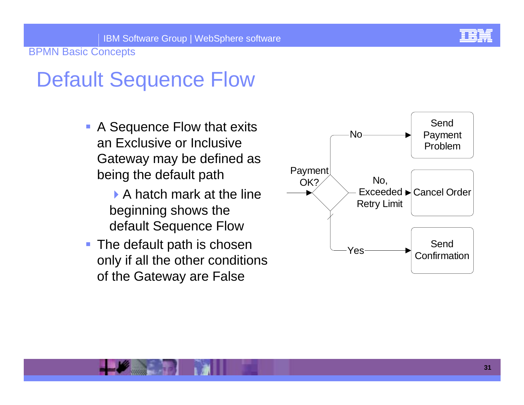

# Default Sequence Flow

**• A Sequence Flow that exits** an Exclusive or Inclusive Gateway may be defined as being the default path

> $\blacktriangleright$  A hatch mark at the line beginning shows the default Sequence Flow

**The default path is chosen** only if all the other conditions of the Gateway are False

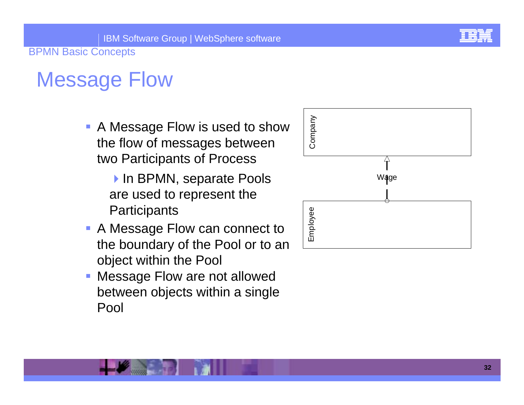

# Message Flow

- **A Message Flow is used to show** the flow of messages between two Participants of Process
	- In BPMN, separate Pools are used to represent the **Participants**
- **A Message Flow can connect to** the boundary of the Pool or to an object within the Pool
- Message Flow are not allowed between objects within a single Pool

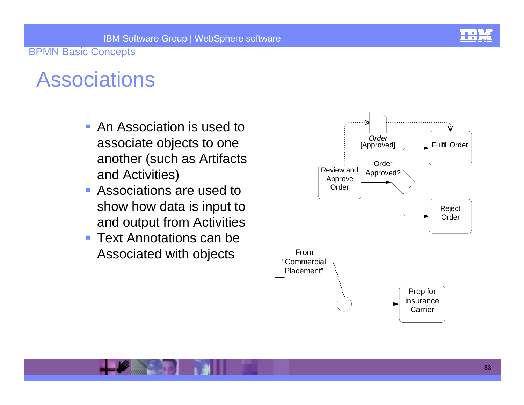

# **Associations**

- **An Association is used to** associate objects to one another (such as Artifacts and Activities)
- ! Associations are used to show how data is input to and output from Activities
- ! Text Annotations can be Associated with objects

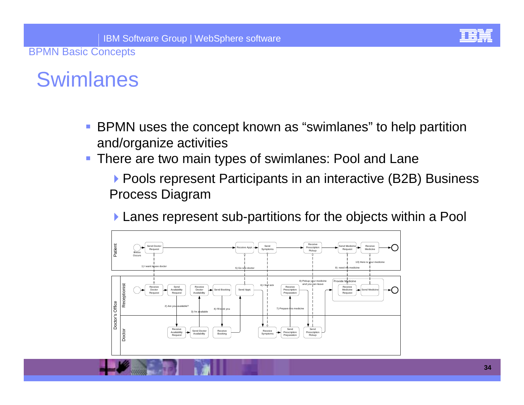### Swimlanes

- ! BPMN uses the concept known as "swimlanes" to help partition and/organize activities
- **There are two main types of swimlanes: Pool and Lane**

▶ Pools represent Participants in an interactive (B2B) Business Process Diagram

**Lanes represent sub-partitions for the objects within a Pool** 

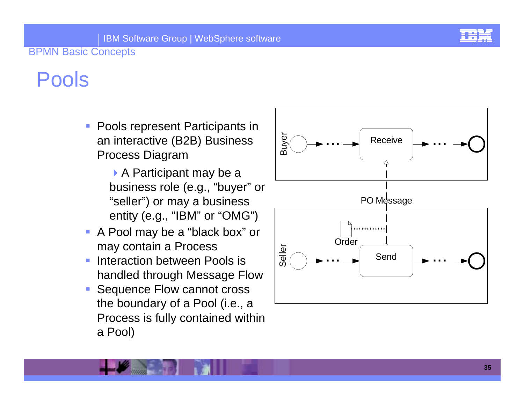

# Pools

- **Pools represent Participants in** an interactive (B2B) Business Process Diagram
	- $\triangleright$  A Participant may be a business role (e.g., "buyer" or "seller") or may a business entity (e.g., "IBM" or "OMG")
- A Pool may be a "black box" or may contain a Process
- Interaction between Pools is handled through Message Flow
- **Sequence Flow cannot cross** the boundary of a Pool (i.e., a Process is fully contained within a Pool)

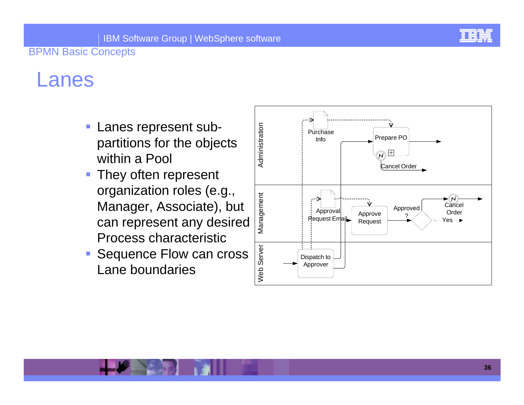

### Lanes

- ! Lanes represent subpartitions for the objects within a Pool
- **They often represent** organization roles (e.g., Manager, Associate), but can represent any desired Process characteristic
- **Sequence Flow can cross** Lane boundaries

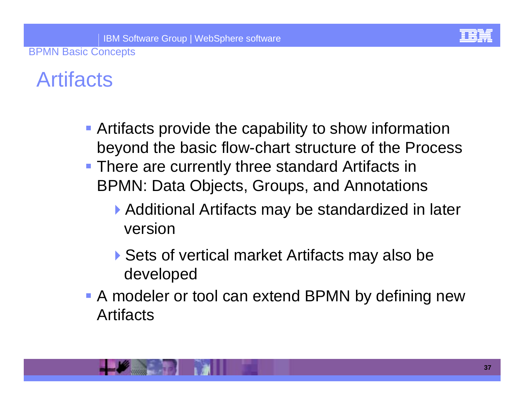## **Artifacts**

- **Artifacts provide the capability to show information** beyond the basic flow-chart structure of the Process
- **There are currently three standard Artifacts in** BPMN: Data Objects, Groups, and Annotations
	- ▶ Additional Artifacts may be standardized in later version
	- ▶ Sets of vertical market Artifacts may also be developed
- **A** modeler or tool can extend BPMN by defining new Artifacts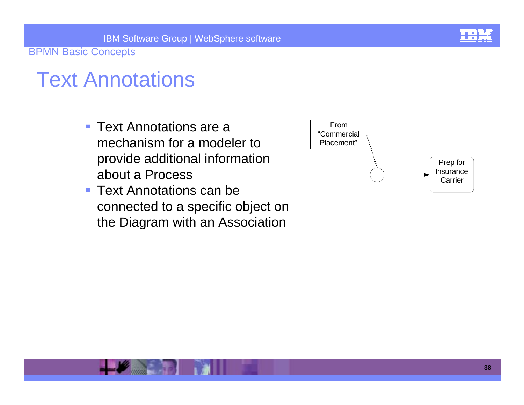### Text Annotations

- Text Annotations are a mechanism for a modeler to provide additional information about a Process
- **Text Annotations can be** connected to a specific object on the Diagram with an Association

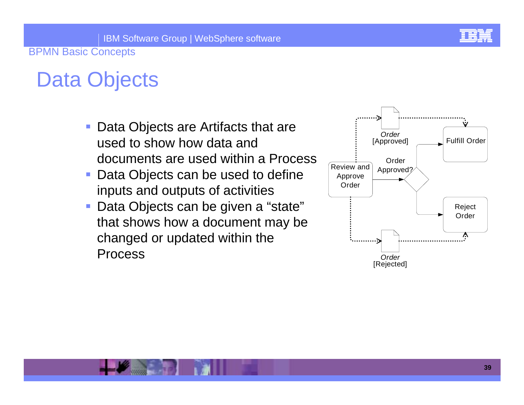

## Data Objects

- **Data Objects are Artifacts that are** used to show how data and documents are used within a Process
- **Data Objects can be used to define** inputs and outputs of activities
- ! Data Objects can be given a "state" that shows how a document may be changed or updated within the Process

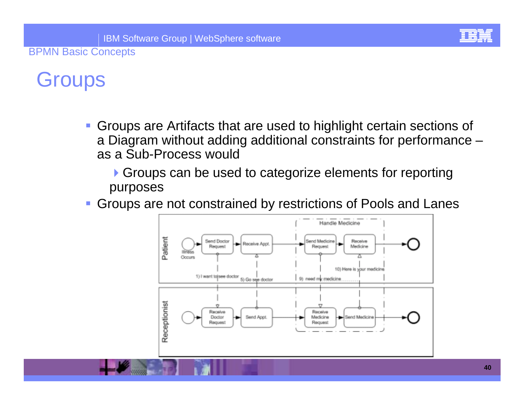

### **Groups**

*DESCRIPTION AND PROPERTY ARRANGEMENT*  Groups are Artifacts that are used to highlight certain sections of a Diagram without adding additional constraints for performance – as a Sub-Process would

**Groups can be used to categorize elements for reporting** purposes

*DESCRIPTION AND PROPERTY ARRANGEMENT* Groups are not constrained by restrictions of Pools and Lanes

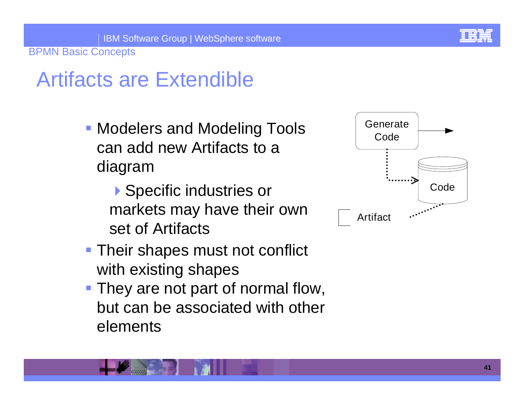# Artifacts are Extendible

- **Modelers and Modeling Tools** can add new Artifacts to a diagram
	- ▶ Specific industries or markets may have their own set of Artifacts
- **Their shapes must not conflict** with existing shapes
- **They are not part of normal flow,** but can be associated with other elements

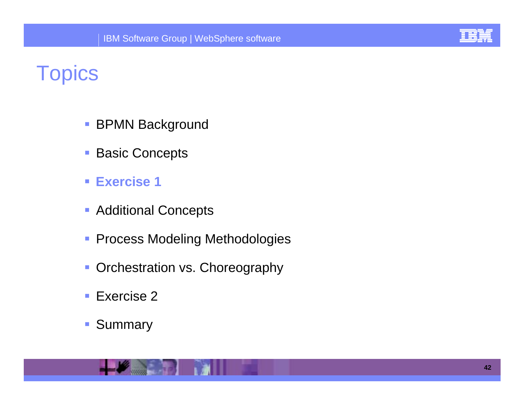

### **Topics**

- !BPMN Background
- !Basic Concepts
- ! **Exercise 1**
- **Additional Concepts**
- **Process Modeling Methodologies**
- **Orchestration vs. Choreography**
- !Exercise 2
- **11** Summary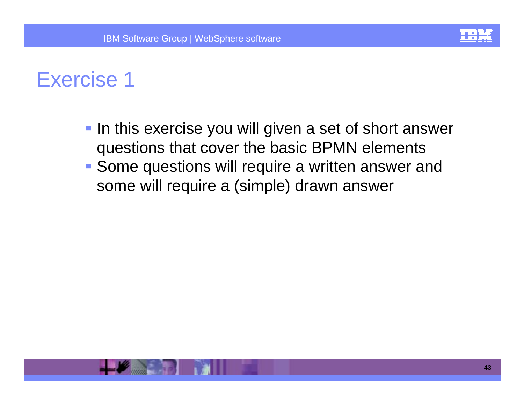

- **IF In this exercise you will given a set of short answer** questions that cover the basic BPMN elements
- **Some questions will require a written answer and** some will require a (simple) drawn answer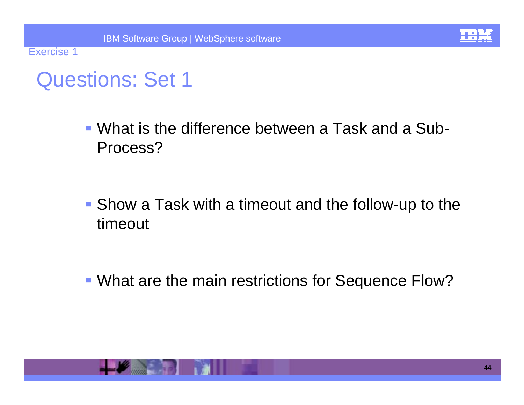

Exercise 1

! What is the difference between a Task and a Sub-Process?

**. Show a Task with a timeout and the follow-up to the** timeout

**. What are the main restrictions for Sequence Flow?** 

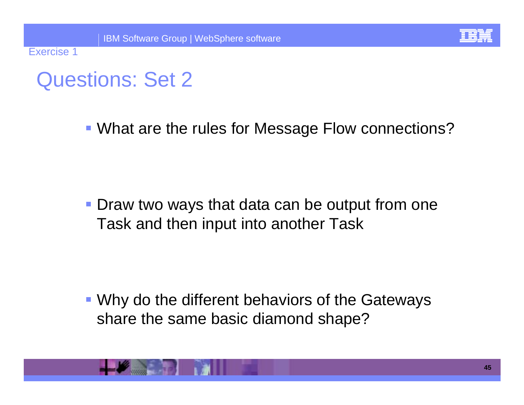

Exercise 1

**. What are the rules for Message Flow connections?** 

**• Draw two ways that data can be output from one** Task and then input into another Task

! Why do the different behaviors of the Gateways share the same basic diamond shape?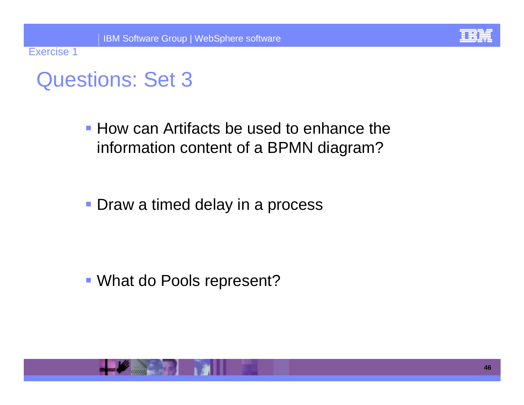

Exercise 1

**. How can Artifacts be used to enhance the** information content of a BPMN diagram?

**• Draw a timed delay in a process** 

**. What do Pools represent?**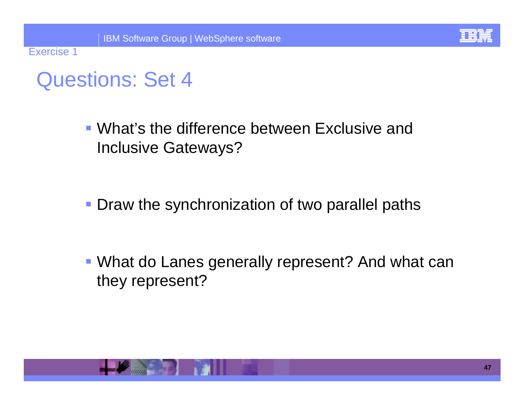

Exercise 1

! What's the difference between Exclusive and Inclusive Gateways?

**• Draw the synchronization of two parallel paths** 

**. What do Lanes generally represent? And what can** they represent?

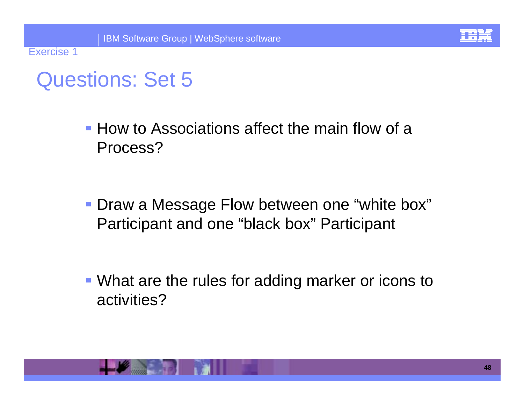

Exercise 1

**• How to Associations affect the main flow of a** Process?

! Draw a Message Flow between one "white box" Participant and one "black box" Participant

**. What are the rules for adding marker or icons to** activities?

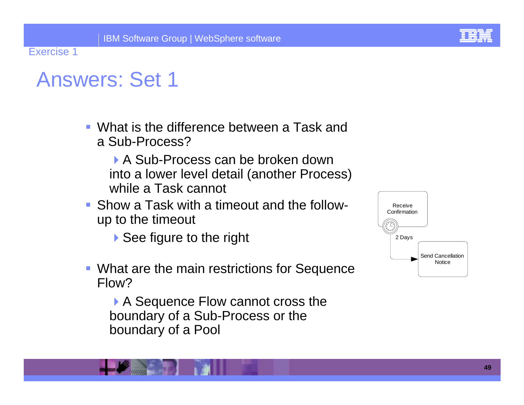

### Answers: Set 1

- ! What is the difference between a Task and a Sub-Process?
	- A Sub-Process can be broken down into a lower level detail (another Process) while a Task cannot
- **.** Show a Task with a timeout and the followup to the timeout
	- ▶ See figure to the right
- **What are the main restrictions for Sequence** Flow?

A Sequence Flow cannot cross the boundary of a Sub-Process or the boundary of a Pool

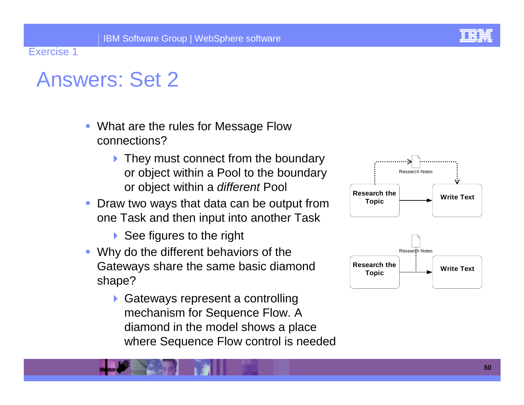- ! What are the rules for Message Flow connections?
	- ▶ They must connect from the boundary or object within a Pool to the boundary or object within a *different* Pool
- ! Draw two ways that data can be output from one Task and then input into another Task
	- ▶ See figures to the right
- ! Why do the different behaviors of the Gateways share the same basic diamond shape?
	- ▶ Gateways represent a controlling mechanism for Sequence Flow. A diamond in the model shows a place where Sequence Flow control is needed



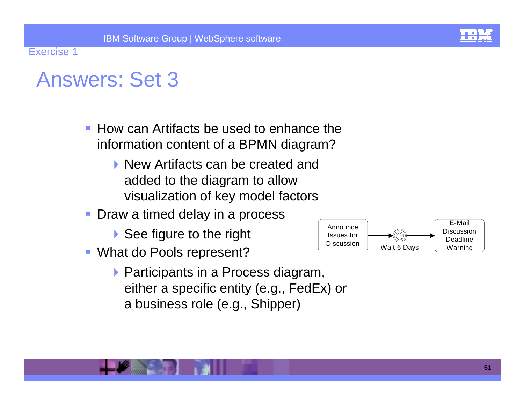

- ! How can Artifacts be used to enhance the information content of a BPMN diagram?
	- !New Artifacts can be created and added to the diagram to allow visualization of key model factors
- ! Draw a timed delay in a process
	- $\triangleright$  See figure to the right
- **. What do Pools represent?** 
	- $\triangleright$  Participants in a Process diagram, either a specific entity (e.g., FedEx) or a business role (e.g., Shipper)

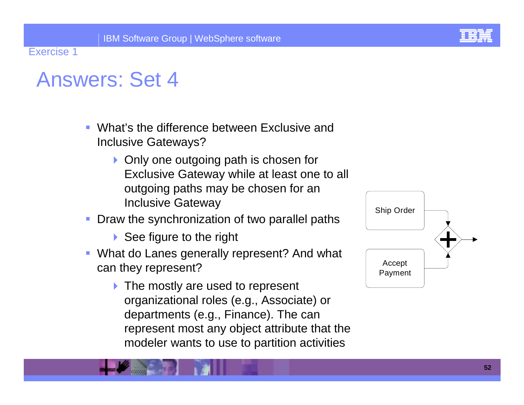

- ! What's the difference between Exclusive and Inclusive Gateways?
	- ▶ Only one outgoing path is chosen for Exclusive Gateway while at least one to all outgoing paths may be chosen for an Inclusive Gateway
- Draw the synchronization of two parallel paths
	- ▶ See figure to the right
- **What do Lanes generally represent? And what** can they represent?
	- ▶ The mostly are used to represent organizational roles (e.g., Associate) or departments (e.g., Finance). The can represent most any object attribute that the modeler wants to use to partition activities

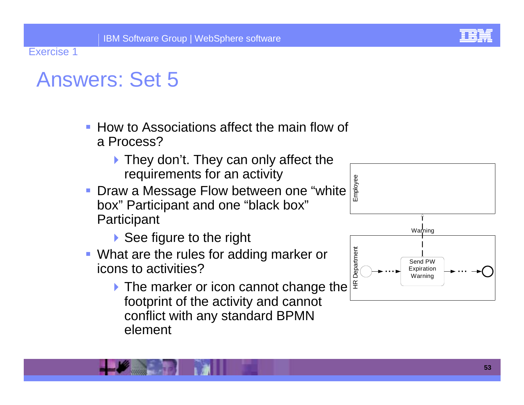- **.** How to Associations affect the main flow of a Process?
	- $\blacktriangleright$  They don't. They can only affect the requirements for an activity
- **Draw a Message Flow between one "white** box" Participant and one "black box" **Participant** 
	- $\triangleright$  See figure to the right
- **What are the rules for adding marker or** icons to activities?
	- If The marker or icon cannot change the  $\frac{d}{dx}$ footprint of the activity and cannot conflict with any standard BPMN element

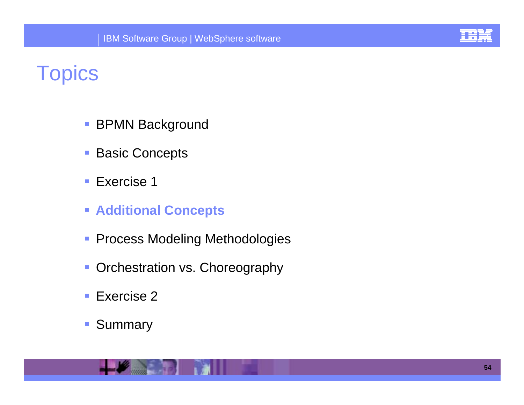

### **Topics**

- !BPMN Background
- !Basic Concepts
- !Exercise 1
- ! **Additional Concepts**
- **Process Modeling Methodologies**
- **Orchestration vs. Choreography**
- !■ Exercise 2
- **11** Summary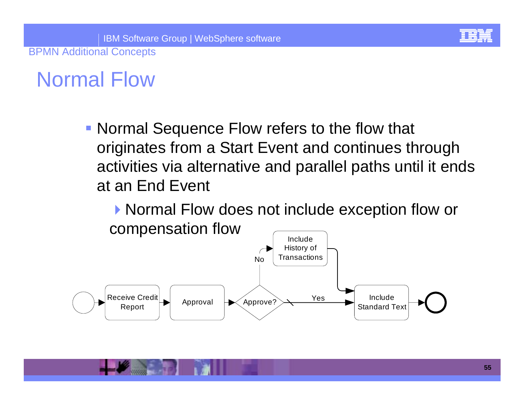### Normal Flow

**. Normal Sequence Flow refers to the flow that** originates from a Start Event and continues through activities via alternative and parallel paths until it ends at an End Event

▶ Normal Flow does not include exception flow or compensation flow **Include** 

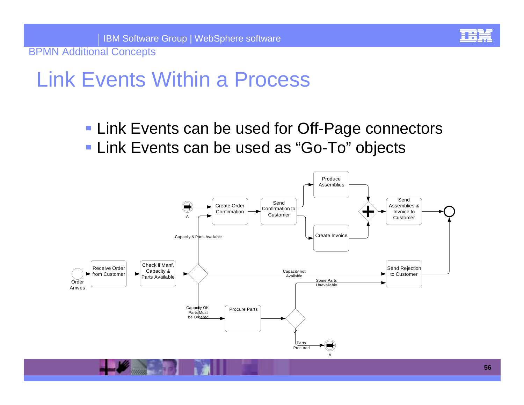### Link Events Within a Process

**. Link Events can be used for Off-Page connectors . Link Events can be used as "Go-To" objects** 

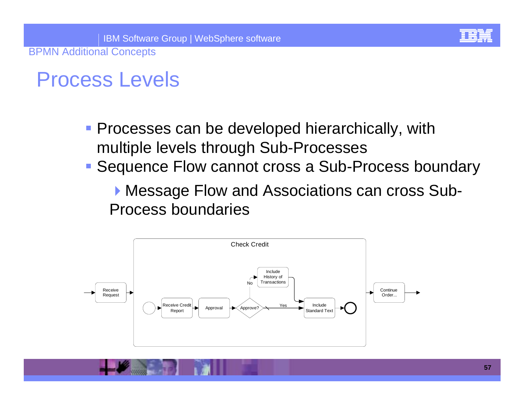### Process Levels

- **Processes can be developed hierarchically, with** multiple levels through Sub-Processes
- **E** Sequence Flow cannot cross a Sub-Process boundary

**Message Flow and Associations can cross Sub-**Process boundaries

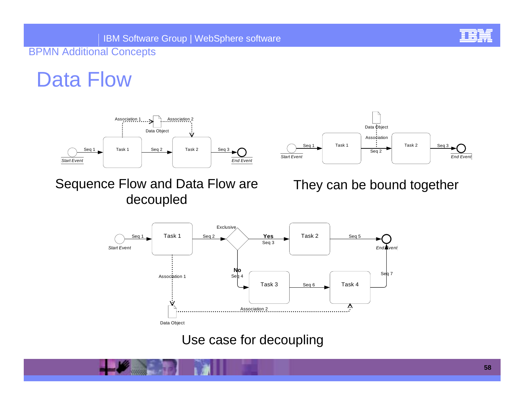### Data Flow







### They can be bound together



#### Use case for decoupling

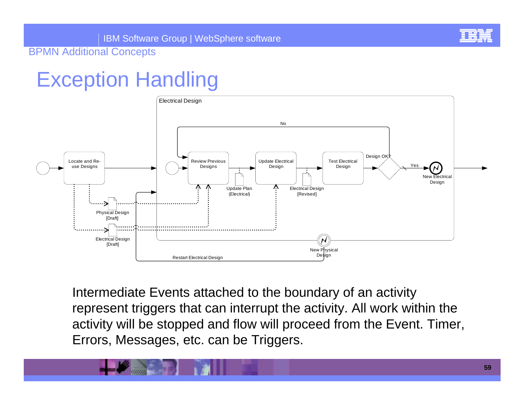## Exception Handling



Intermediate Events attached to the boundary of an activity represent triggers that can interrupt the activity. All work within the activity will be stopped and flow will proceed from the Event. Timer, Errors, Messages, etc. can be Triggers.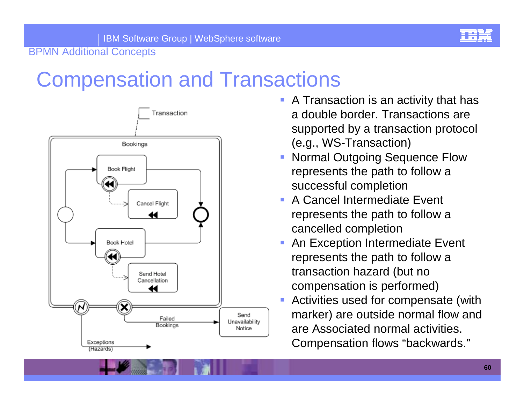

## Compensation and Transactions



- **A Transaction is an activity that has** a double border. Transactions are supported by a transaction protocol (e.g., WS-Transaction)
- Normal Outgoing Sequence Flow represents the path to follow a successful completion
- A Cancel Intermediate Event represents the path to follow a cancelled completion
- An Exception Intermediate Event represents the path to follow a transaction hazard (but no compensation is performed)
- Activities used for compensate (with marker) are outside normal flow and are Associated normal activities. Compensation flows "backwards."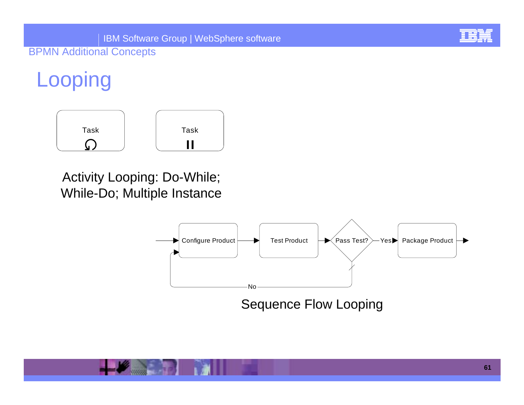# **Looping**



### Activity Looping: Do-While; While-Do; Multiple Instance



Sequence Flow Looping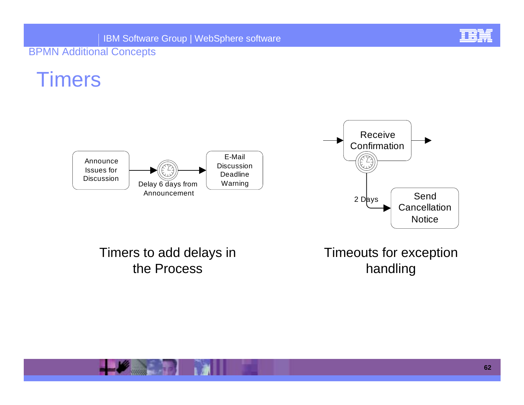

### Timers





### Timers to add delays in the Process

Timeouts for exception handling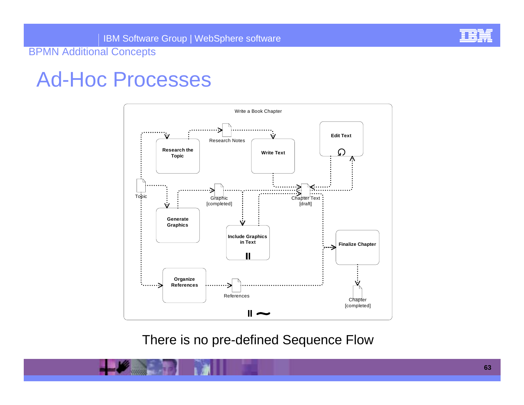

### Ad-Hoc Processes



There is no pre-defined Sequence Flow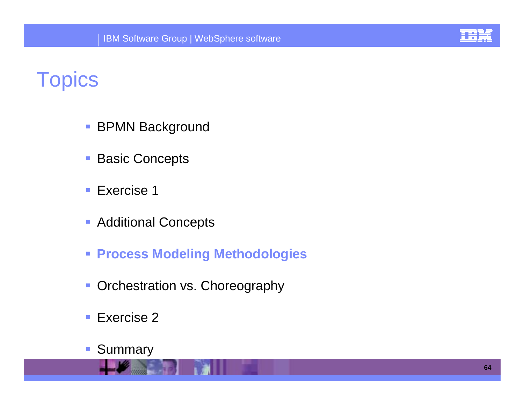

### **Topics**

- **BPMN Background**
- !Basic Concepts
- !Exercise 1
- **Additional Concepts**
- ! **Process Modeling Methodologies**
- **Orchestration vs. Choreography**
- !Exercise 2
- !Summary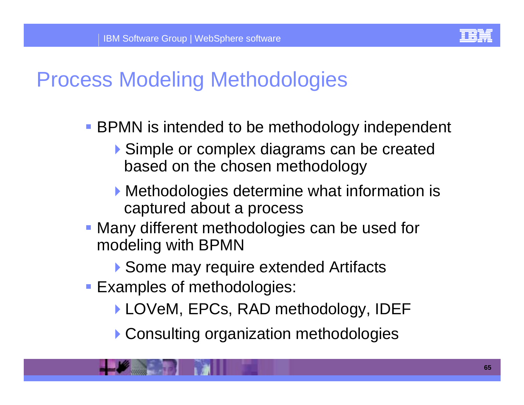

- **BPMN** is intended to be methodology independent
	- !Simple or complex diagrams can be created based on the chosen methodology
	- **Methodologies determine what information is** captured about a process
- **Many different methodologies can be used for** modeling with BPMN
	- ▶ Some may require extended Artifacts
- **Examples of methodologies:** 
	- ▶ LOVeM, EPCs, RAD methodology, IDEF
	- ▶ Consulting organization methodologies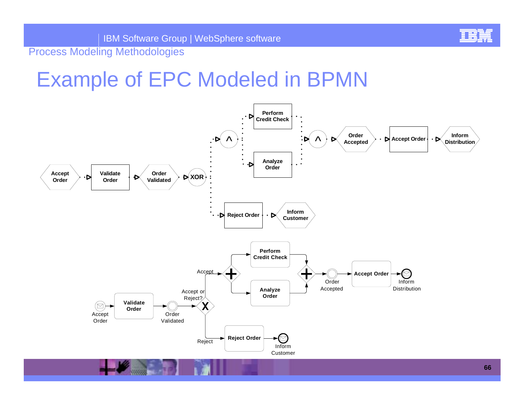

### Example of EPC Modeled in BPMN

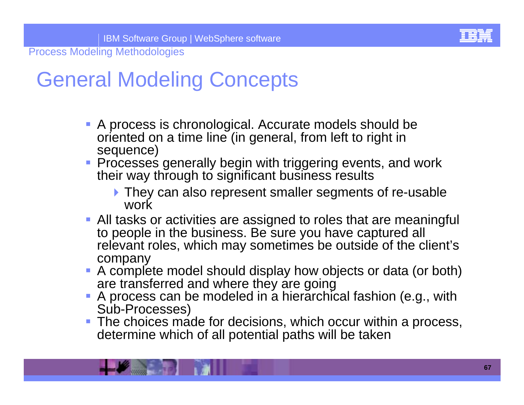### General Modeling Concepts

- ! A process is chronological. Accurate models should be oriented on a time line (in general, from left to right in sequence)
- **Processes generally begin with triggering events, and work** their way through to significant business results
	- **If** They can also represent smaller segments of re-usable work
- **-** All tasks or activities are assigned to roles that are meaningful to people in the business. Be sure you have captured all relevant roles, which may sometimes be outside of the client's company
- ! A complete model should display how objects or data (or both) are transferred and where they are going
- *DESCRIPTION AND PROPERTY ARRANGEMENT* A process can be modeled in a hierarchical fashion (e.g., with Sub-Processes)
- **The choices made for decisions, which occur within a process,** determine which of all potential paths will be taken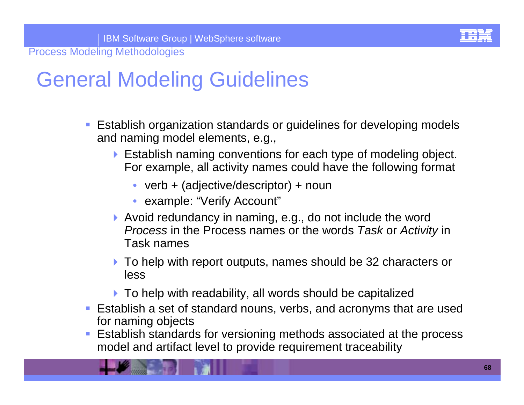### General Modeling Guidelines

- **Eitablish organization standards or guidelines for developing models** and naming model elements, e.g.,
	- ! Establish naming conventions for each type of modeling object. For example, all activity names could have the following format
		- verb + (adjective/descriptor) + noun
		- example: "Verify Account"
	- ▶ Avoid redundancy in naming, e.g., do not include the word *Process* in the Process names or the words *Task* or *Activity* in Task names
	- ▶ To help with report outputs, names should be 32 characters or less
	- $\blacktriangleright$  To help with readability, all words should be capitalized
- **Eitablish a set of standard nouns, verbs, and acronyms that are used** for naming objects
- ! Establish standards for versioning methods associated at the process model and artifact level to provide requirement traceability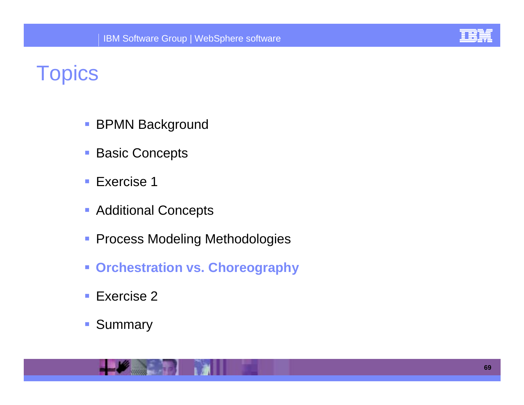

### **Topics**

- !BPMN Background
- !Basic Concepts
- !Exercise 1
- **Additional Concepts**
- **Process Modeling Methodologies**
- **Example 2 Fig. 2 For Setuphy orchestration vs. Choreography**
- !■ Exercise 2
- **11** Summary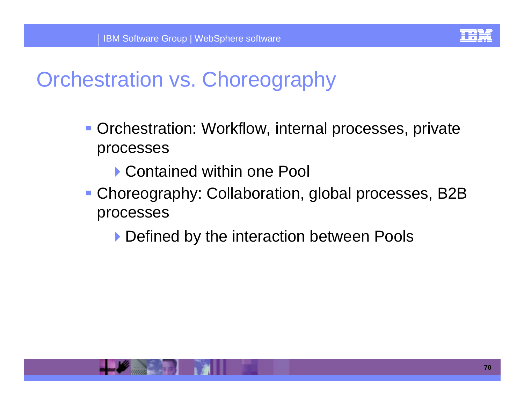

## Orchestration vs. Choreography

- **Orchestration: Workflow, internal processes, private** processes
	- ▶ Contained within one Pool
- ! Choreography: Collaboration, global processes, B2B processes
	- **Defined by the interaction between Pools**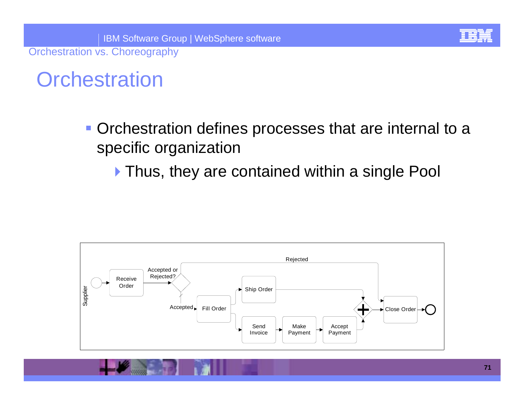Orchestration vs. Choreography

### **Orchestration**

- **Orchestration defines processes that are internal to a** specific organization
	- ▶ Thus, they are contained within a single Pool

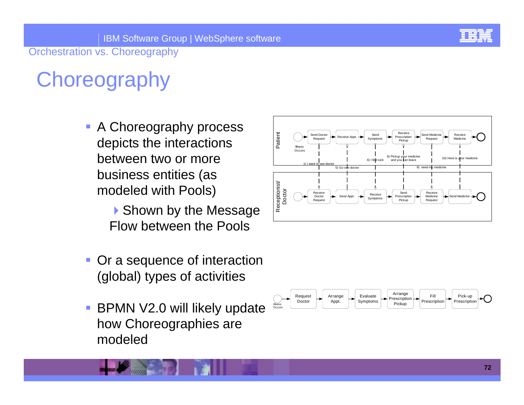

Orchestration vs. Choreography

# **Choreography**

- **A Choreography process** depicts the interactions between two or more business entities (as modeled with Pools)
	- ▶ Shown by the Message Flow between the Pools
- ! Or a sequence of interaction (global) types of activities
- ! BPMN V2.0 will likely update how Choreographies are modeled



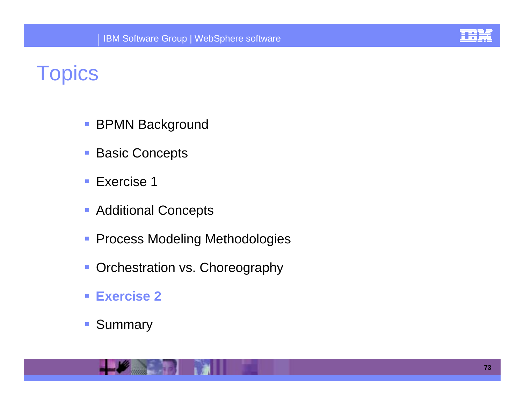

## **Topics**

- !BPMN Background
- !Basic Concepts
- !Exercise 1
- **Additional Concepts**
- **Process Modeling Methodologies**
- **Orchestration vs. Choreography**
- ! **Exercise 2**
- !Summary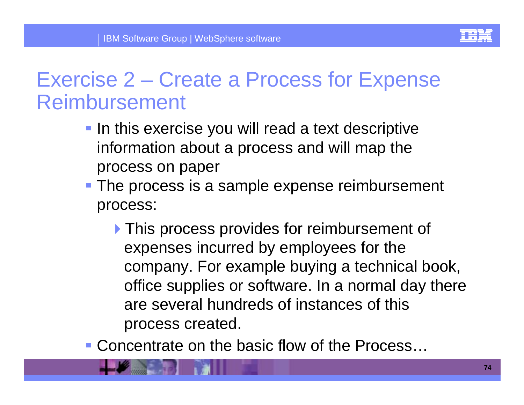### Exercise 2 – Create a Process for Expense Reimbursement

- **IF In this exercise you will read a text descriptive** information about a process and will map the process on paper
- **The process is a sample expense reimbursement** process:
	- **If** This process provides for reimbursement of expenses incurred by employees for the company. For example buying a technical book, office supplies or software. In a normal day there are several hundreds of instances of this process created.
- ! Concentrate on the basic flow of the Process…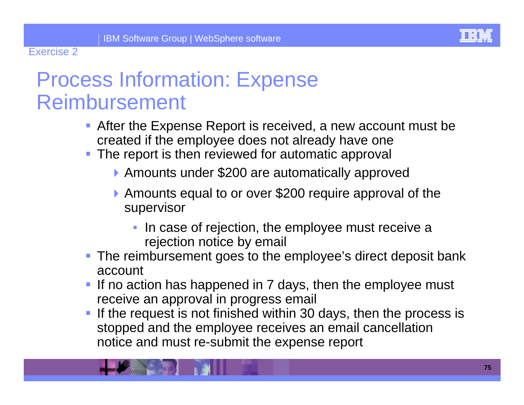#### Exercise 2

## Process Information: Expense Reimbursement

- **After the Expense Report is received, a new account must be** created if the employee does not already have one
- **The report is then reviewed for automatic approval** 
	- ▶ Amounts under \$200 are automatically approved
	- !Amounts equal to or over \$200 require approval of the supervisor
		- In case of rejection, the employee must receive a rejection notice by email
- **The reimbursement goes to the employee's direct deposit bank** account
- If no action has happened in 7 days, then the employee must receive an approval in progress email
- ! If the request is not finished within 30 days, then the process is stopped and the employee receives an email cancellation notice and must re-submit the expense report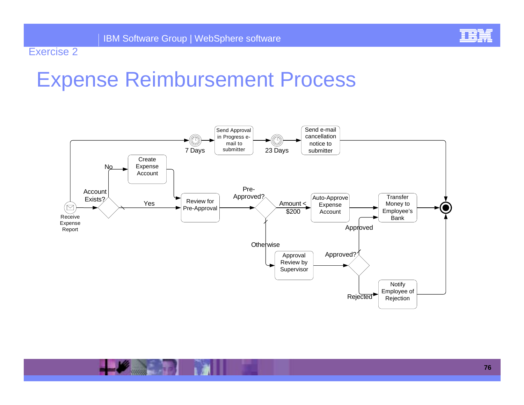

### Exercise 2

## Expense Reimbursement Process

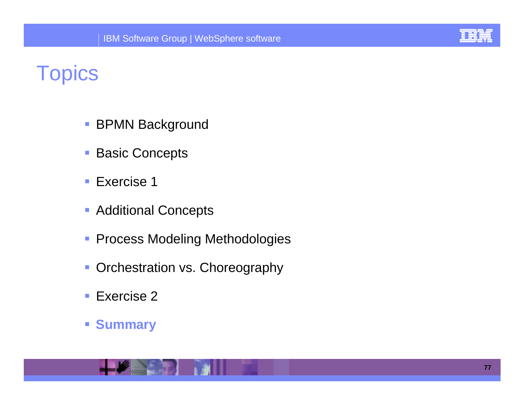

# **Topics**

- !BPMN Background
- !Basic Concepts
- !Exercise 1
- **Additional Concepts**
- **Process Modeling Methodologies**
- **Orchestration vs. Choreography**
- **.** Exercise 2
- !**Summary**